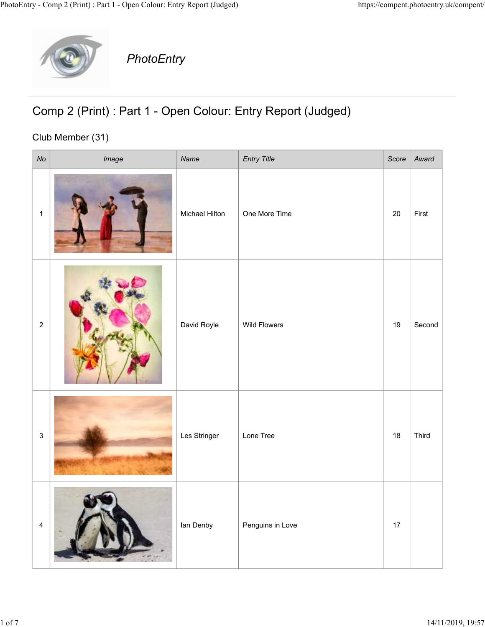

## Comp 2 (Print) : Part 1 - Open Colour: Entry Report (Judged)

## Club Member (31)

|                         | y - Comp 2 (Print) : Part 1 - Open Colour: Entry Report (Judged)<br>PhotoEntry   |                |                     | https://compent.photoentry.uk/compent/ |        |
|-------------------------|----------------------------------------------------------------------------------|----------------|---------------------|----------------------------------------|--------|
|                         | Comp 2 (Print) : Part 1 - Open Colour: Entry Report (Judged)<br>Club Member (31) |                |                     |                                        |        |
| No                      | Image                                                                            | Name           | <b>Entry Title</b>  | Score                                  | Award  |
| $\overline{1}$          |                                                                                  | Michael Hilton | One More Time       | 20                                     | First  |
| $\overline{2}$          |                                                                                  | David Royle    | <b>Wild Flowers</b> | 19                                     | Second |
| 3 <sup>1</sup>          |                                                                                  | Les Stringer   | Lone Tree           | 18                                     | Third  |
| $\overline{\mathbf{4}}$ |                                                                                  | lan Denby      | Penguins in Love    | $17$                                   |        |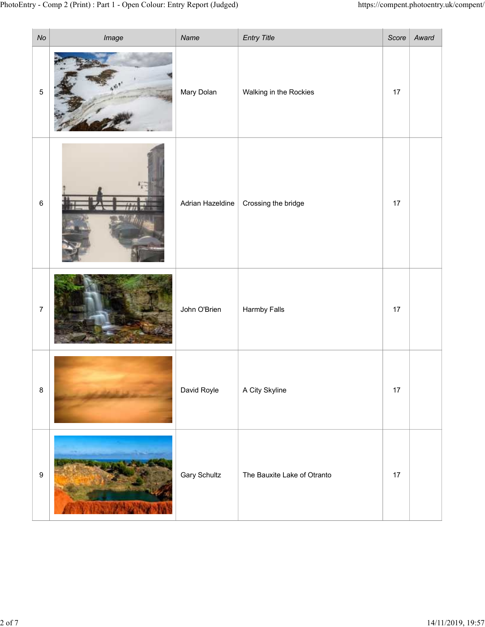|                  | try - Comp 2 (Print) : Part 1 - Open Colour: Entry Report (Judged) |                     |                                              |    | https://compent.photoentry.uk/compent/ |
|------------------|--------------------------------------------------------------------|---------------------|----------------------------------------------|----|----------------------------------------|
| No<br>$\sqrt{5}$ | Image                                                              | Name<br>Mary Dolan  | <b>Entry Title</b><br>Walking in the Rockies | 17 | Score   $Award$                        |
| $\,6\,$          |                                                                    | Adrian Hazeldine    | Crossing the bridge                          | 17 |                                        |
| $\overline{7}$   |                                                                    | John O'Brien        | <b>Harmby Falls</b>                          | 17 |                                        |
| $\bf 8$          |                                                                    | David Royle         | A City Skyline                               | 17 |                                        |
| $\boldsymbol{9}$ |                                                                    | <b>Gary Schultz</b> | The Bauxite Lake of Otranto                  | 17 |                                        |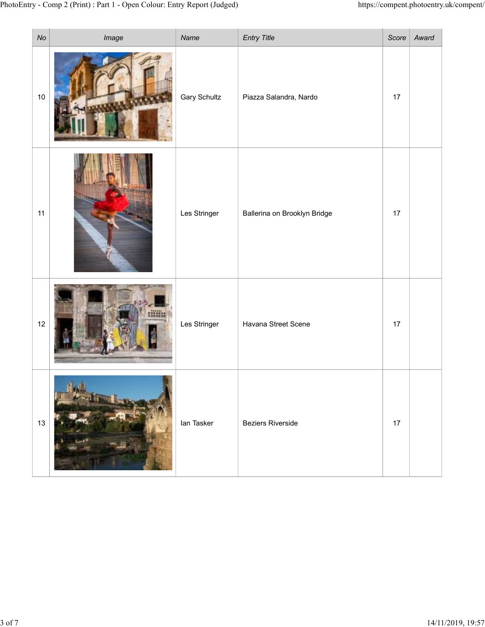| No   | y - Comp 2 (Print) : Part 1 - Open Colour: Entry Report (Judged)<br>Image | Name                | <b>Entry Title</b>           | https://compent.photoentry.uk/compent/<br>$Score \mid$ | Award |
|------|---------------------------------------------------------------------------|---------------------|------------------------------|--------------------------------------------------------|-------|
| $10$ |                                                                           | <b>Gary Schultz</b> | Piazza Salandra, Nardo       | 17                                                     |       |
| 11   |                                                                           | Les Stringer        | Ballerina on Brooklyn Bridge | 17                                                     |       |
| 12   | min                                                                       | Les Stringer        | Havana Street Scene          | 17                                                     |       |
| 13   |                                                                           | lan Tasker          | <b>Beziers Riverside</b>     | 17                                                     |       |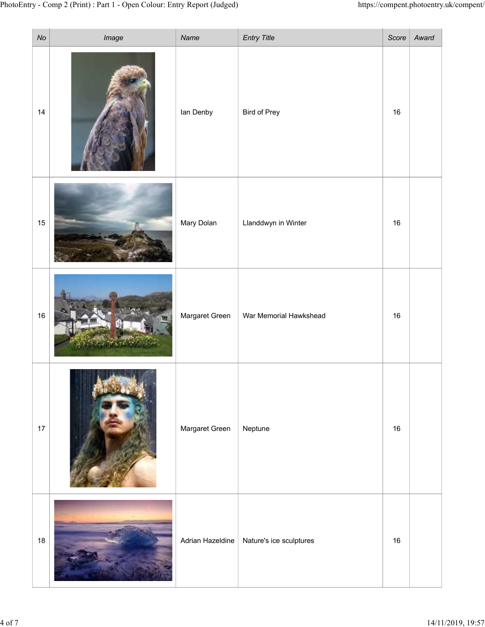| ry - Comp 2 (Print) : Part 1 - Open Colour: Entry Report (Judged) |                |                                            |        | https://compent.photoentry.uk/compent/ |  |
|-------------------------------------------------------------------|----------------|--------------------------------------------|--------|----------------------------------------|--|
| $\mathcal{N}o$<br>Image                                           | Name           | <b>Entry Title</b>                         | Score  | Award                                  |  |
| 14                                                                | lan Denby      | Bird of Prey                               | $16\,$ |                                        |  |
| 15                                                                | Mary Dolan     | Llanddwyn in Winter                        | 16     |                                        |  |
| 16                                                                | Margaret Green | War Memorial Hawkshead                     | 16     |                                        |  |
| 17                                                                | Margaret Green | Neptune                                    | $16\,$ |                                        |  |
| 18                                                                |                | Adrian Hazeldine   Nature's ice sculptures | 16     |                                        |  |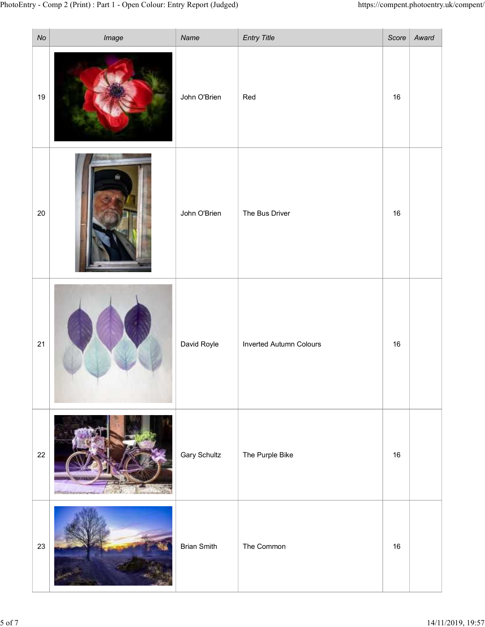| $N\sigma$ | y - Comp 2 (Print) : Part 1 - Open Colour: Entry Report (Judged) | Name                | <b>Entry Title</b>      | https://compent.photoentry.uk/compent/<br>$Score \mid$ | Award |
|-----------|------------------------------------------------------------------|---------------------|-------------------------|--------------------------------------------------------|-------|
| 19        | Image                                                            | John O'Brien        | Red                     | 16                                                     |       |
| $20\,$    |                                                                  | John O'Brien        | The Bus Driver          | 16                                                     |       |
| 21        |                                                                  | David Royle         | Inverted Autumn Colours | 16                                                     |       |
| 22        | собирать интинеральные                                           | <b>Gary Schultz</b> | The Purple Bike         | 16                                                     |       |
| $23\,$    |                                                                  | <b>Brian Smith</b>  | The Common              | $16\,$                                                 |       |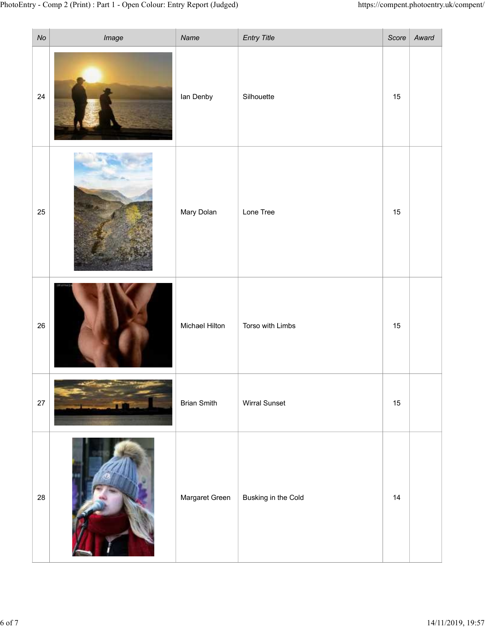|        | y - Comp 2 (Print) : Part 1 - Open Colour: Entry Report (Judged) |                    |                      |              | https://compent.photoentry.uk/compent/ |
|--------|------------------------------------------------------------------|--------------------|----------------------|--------------|----------------------------------------|
| $N\!o$ | Image                                                            | Name               | <b>Entry Title</b>   | $Score \mid$ | Award                                  |
| 24     |                                                                  | lan Denby          | Silhouette           | $15\,$       |                                        |
| 25     |                                                                  | Mary Dolan         | Lone Tree            | 15           |                                        |
| 26     |                                                                  | Michael Hilton     | Torso with Limbs     | 15           |                                        |
| $27\,$ |                                                                  | <b>Brian Smith</b> | <b>Wirral Sunset</b> | 15           |                                        |
| 28     | $\sim$ $\sim$ $\sim$                                             | Margaret Green     | Busking in the Cold  | 14           |                                        |